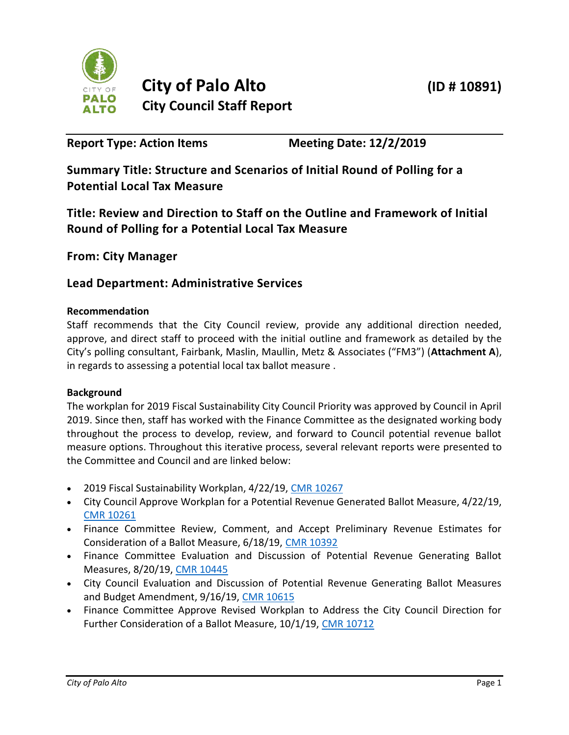

# **City of Palo Alto (ID # 10891) City Council Staff Report**

**Report Type: Action Items Meeting Date: 12/2/2019**

**Summary Title: Structure and Scenarios of Initial Round of Polling for a Potential Local Tax Measure**

**Title: Review and Direction to Staff on the Outline and Framework of Initial Round of Polling for a Potential Local Tax Measure**

**From: City Manager**

# **Lead Department: Administrative Services**

# **Recommendation**

Staff recommends that the City Council review, provide any additional direction needed, approve, and direct staff to proceed with the initial outline and framework as detailed by the City's polling consultant, Fairbank, Maslin, Maullin, Metz & Associates ("FM3") (**Attachment A**), in regards to assessing a potential local tax ballot measure .

# **Background**

The workplan for 2019 Fiscal Sustainability City Council Priority was approved by Council in April 2019. Since then, staff has worked with the Finance Committee as the designated working body throughout the process to develop, review, and forward to Council potential revenue ballot measure options. Throughout this iterative process, several relevant reports were presented to the Committee and Council and are linked below:

- 2019 Fiscal Sustainability Workplan, 4/22/19, [CMR 10267](http://www.cityofpaloalto.org/civicax/filebank/documents/70506)
- City Council Approve Workplan for a Potential Revenue Generated Ballot Measure, 4/22/19, [CMR 10261](http://www.cityofpaloalto.org/civicax/filebank/documents/70507)
- Finance Committee Review, Comment, and Accept Preliminary Revenue Estimates for Consideration of a Ballot Measure, 6/18/19, [CMR 10392](http://www.cityofpaloalto.org/civicax/filebank/documents/72101)
- Finance Committee Evaluation and Discussion of Potential Revenue Generating Ballot Measures, 8/20/19, [CMR 10445](http://www.cityofpaloalto.org/civicax/filebank/documents/73071)
- City Council Evaluation and Discussion of Potential Revenue Generating Ballot Measures and Budget Amendment, 9/16/19, [CMR 10615](http://www.cityofpaloalto.org/civicax/filebank/blobdload.aspx?t=59472.38&BlobID=73287)
- Finance Committee Approve Revised Workplan to Address the City Council Direction for Further Consideration of a Ballot Measure, 10/1/19, [CMR 10712](http://www.cityofpaloalto.org/civicax/filebank/documents/73494)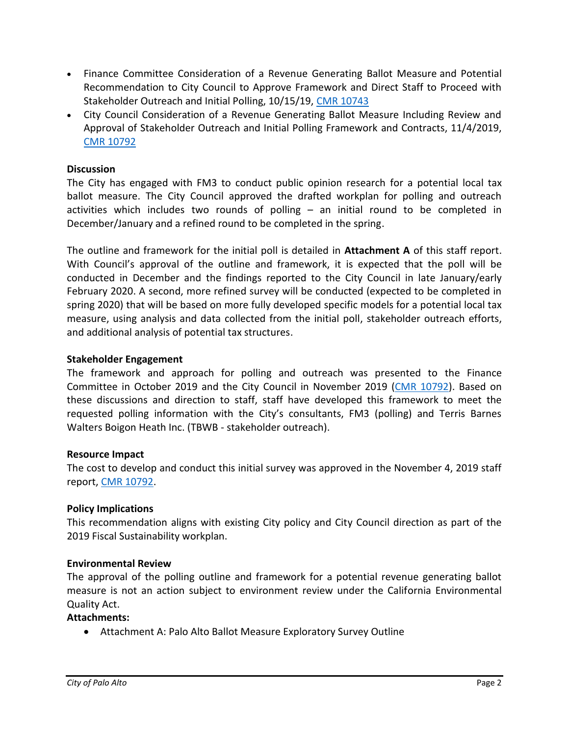- Finance Committee Consideration of a Revenue Generating Ballot Measure and Potential Recommendation to City Council to Approve Framework and Direct Staff to Proceed with Stakeholder Outreach and Initial Polling, 10/15/19, [CMR 10743](https://www.cityofpaloalto.org/civicax/filebank/documents/73637)
- City Council Consideration of a Revenue Generating Ballot Measure Including Review and Approval of Stakeholder Outreach and Initial Polling Framework and Contracts, 11/4/2019, [CMR 10792](https://www.cityofpaloalto.org/civicax/filebank/documents/73803)

## **Discussion**

The City has engaged with FM3 to conduct public opinion research for a potential local tax ballot measure. The City Council approved the drafted workplan for polling and outreach activities which includes two rounds of polling – an initial round to be completed in December/January and a refined round to be completed in the spring.

The outline and framework for the initial poll is detailed in **Attachment A** of this staff report. With Council's approval of the outline and framework, it is expected that the poll will be conducted in December and the findings reported to the City Council in late January/early February 2020. A second, more refined survey will be conducted (expected to be completed in spring 2020) that will be based on more fully developed specific models for a potential local tax measure, using analysis and data collected from the initial poll, stakeholder outreach efforts, and additional analysis of potential tax structures.

### **Stakeholder Engagement**

The framework and approach for polling and outreach was presented to the Finance Committee in October 2019 and the City Council in November 2019 [\(CMR 10792\)](https://www.cityofpaloalto.org/civicax/filebank/documents/73803). Based on these discussions and direction to staff, staff have developed this framework to meet the requested polling information with the City's consultants, FM3 (polling) and Terris Barnes Walters Boigon Heath Inc. (TBWB - stakeholder outreach).

#### **Resource Impact**

The cost to develop and conduct this initial survey was approved in the November 4, 2019 staff report[, CMR 10792.](https://www.cityofpaloalto.org/civicax/filebank/documents/73803)

#### **Policy Implications**

This recommendation aligns with existing City policy and City Council direction as part of the 2019 Fiscal Sustainability workplan.

#### **Environmental Review**

The approval of the polling outline and framework for a potential revenue generating ballot measure is not an action subject to environment review under the California Environmental Quality Act.

#### **Attachments:**

• Attachment A: Palo Alto Ballot Measure Exploratory Survey Outline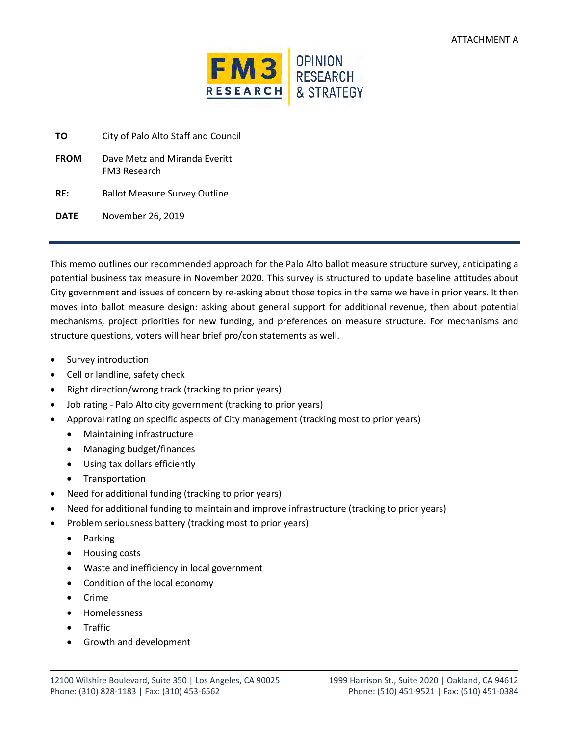

| ΤO          | City of Palo Alto Staff and Council                  |
|-------------|------------------------------------------------------|
| <b>FROM</b> | Dave Metz and Miranda Everitt<br><b>FM3 Research</b> |
| RF:         | <b>Ballot Measure Survey Outline</b>                 |
| DATE        | November 26, 2019                                    |

This memo outlines our recommended approach for the Palo Alto ballot measure structure survey, anticipating a potential business tax measure in November 2020. This survey is structured to update baseline attitudes about City government and issues of concern by re-asking about those topics in the same we have in prior years. It then moves into ballot measure design: asking about general support for additional revenue, then about potential mechanisms, project priorities for new funding, and preferences on measure structure. For mechanisms and structure questions, voters will hear brief pro/con statements as well.

- Survey introduction
- Cell or landline, safety check
- Right direction/wrong track (tracking to prior years)
- Job rating Palo Alto city government (tracking to prior years)
- Approval rating on specific aspects of City management (tracking most to prior years)
	- Maintaining infrastructure
	- Managing budget/finances
	- Using tax dollars efficiently
	- Transportation
- Need for additional funding (tracking to prior years)
- Need for additional funding to maintain and improve infrastructure (tracking to prior years)
- Problem seriousness battery (tracking most to prior years)
	- Parking
	- Housing costs
	- Waste and inefficiency in local government
	- Condition of the local economy
	- Crime
	- Homelessness
	- Traffic
	- Growth and development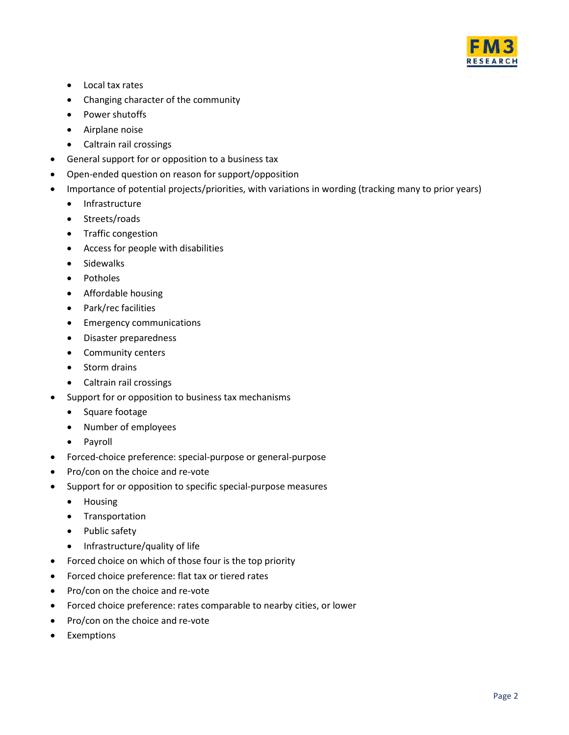

- Local tax rates
- Changing character of the community
- Power shutoffs
- Airplane noise
- Caltrain rail crossings
- General support for or opposition to a business tax
- Open-ended question on reason for support/opposition
- Importance of potential projects/priorities, with variations in wording (tracking many to prior years)
	- Infrastructure
	- Streets/roads
	- Traffic congestion
	- Access for people with disabilities
	- Sidewalks
	- Potholes
	- Affordable housing
	- Park/rec facilities
	- Emergency communications
	- Disaster preparedness
	- Community centers
	- Storm drains
	- Caltrain rail crossings
- Support for or opposition to business tax mechanisms
	- Square footage
	- Number of employees
	- Payroll
- Forced-choice preference: special-purpose or general-purpose
- Pro/con on the choice and re-vote
- Support for or opposition to specific special-purpose measures
	- Housing
	- Transportation
	- Public safety
	- Infrastructure/quality of life
- Forced choice on which of those four is the top priority
- Forced choice preference: flat tax or tiered rates
- Pro/con on the choice and re-vote
- Forced choice preference: rates comparable to nearby cities, or lower
- Pro/con on the choice and re-vote
- Exemptions